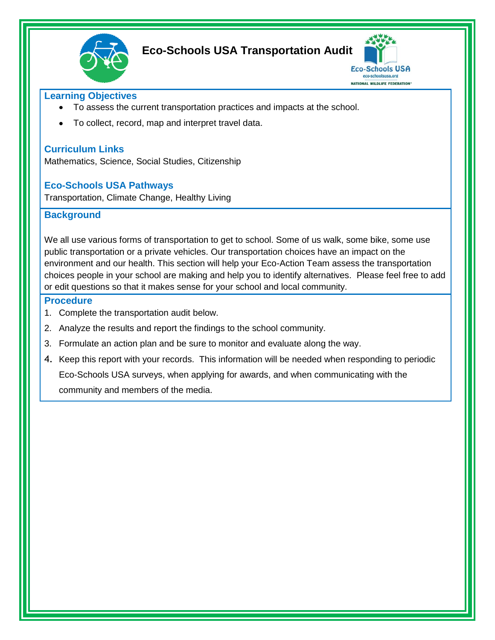

# **Eco-Schools USA Transportation Audit**



### **Learning Objectives**

- To assess the current transportation practices and impacts at the school.
- To collect, record, map and interpret travel data.

## **Curriculum Links**

Mathematics, Science, Social Studies, Citizenship

### **Eco-Schools USA Pathways**

Transportation, Climate Change, Healthy Living

### **Background**

We all use various forms of transportation to get to school. Some of us walk, some bike, some use public transportation or a private vehicles. Our transportation choices have an impact on the environment and our health. This section will help your Eco-Action Team assess the transportation choices people in your school are making and help you to identify alternatives. Please feel free to add or edit questions so that it makes sense for your school and local community.

#### **Procedure**

- 1. Complete the transportation audit below.
- 2. Analyze the results and report the findings to the school community.
- 3. Formulate an action plan and be sure to monitor and evaluate along the way.
- 4. Keep this report with your records. This information will be needed when responding to periodic Eco-Schools USA surveys, when applying for awards, and when communicating with the community and members of the media.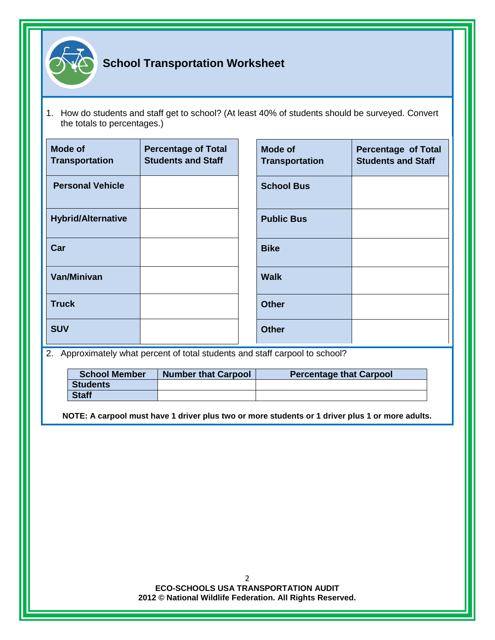

1. How do students and staff get to school? (At least 40% of students should be surveyed. Convert the totals to percentages.)

| <b>Mode of</b><br><b>Transportation</b> | <b>Percentage of Total</b><br><b>Students and Staff</b> | <b>Mode of</b><br><b>Transportation</b> | <b>Percentage of Total</b><br><b>Students and Staff</b> |
|-----------------------------------------|---------------------------------------------------------|-----------------------------------------|---------------------------------------------------------|
| <b>Personal Vehicle</b>                 |                                                         | <b>School Bus</b>                       |                                                         |
| <b>Hybrid/Alternative</b>               |                                                         | <b>Public Bus</b>                       |                                                         |
| Car                                     |                                                         | <b>Bike</b>                             |                                                         |
| <b>Van/Minivan</b>                      |                                                         | <b>Walk</b>                             |                                                         |
| <b>Truck</b>                            |                                                         | <b>Other</b>                            |                                                         |
| <b>SUV</b>                              |                                                         | <b>Other</b>                            |                                                         |

2. Approximately what percent of total students and staff carpool to school?

| <b>School Member</b> | <b>Number that Carpool</b> | <b>Percentage that Carpool</b> |
|----------------------|----------------------------|--------------------------------|
| <b>Students</b>      |                            |                                |
| <b>Staff</b>         |                            |                                |

**NOTE: A carpool must have 1 driver plus two or more students or 1 driver plus 1 or more adults.**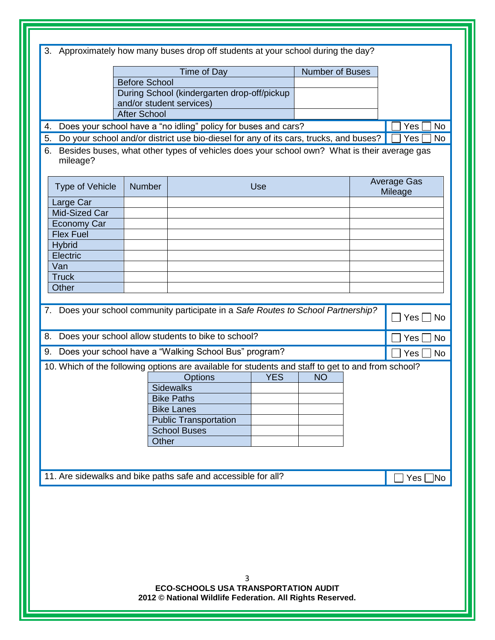| 3.                     |                      | Approximately how many buses drop off students at your school during the day?                            |                        |                    |
|------------------------|----------------------|----------------------------------------------------------------------------------------------------------|------------------------|--------------------|
|                        |                      |                                                                                                          |                        |                    |
|                        |                      | Time of Day                                                                                              | <b>Number of Buses</b> |                    |
|                        | <b>Before School</b> |                                                                                                          |                        |                    |
|                        |                      | During School (kindergarten drop-off/pickup<br>and/or student services)                                  |                        |                    |
|                        | <b>After School</b>  |                                                                                                          |                        |                    |
| 4.                     |                      | Does your school have a "no idling" policy for buses and cars?                                           |                        | Yes<br><b>No</b>   |
| 5.                     |                      | Do your school and/or district use bio-diesel for any of its cars, trucks, and buses?                    |                        | <b>No</b><br>Yes   |
| 6.                     |                      | Besides buses, what other types of vehicles does your school own? What is their average gas              |                        |                    |
| mileage?               |                      |                                                                                                          |                        |                    |
|                        |                      |                                                                                                          |                        |                    |
| <b>Type of Vehicle</b> | <b>Number</b>        | <b>Use</b>                                                                                               |                        | <b>Average Gas</b> |
| Large Car              |                      |                                                                                                          |                        | Mileage            |
| <b>Mid-Sized Car</b>   |                      |                                                                                                          |                        |                    |
| <b>Economy Car</b>     |                      |                                                                                                          |                        |                    |
| <b>Flex Fuel</b>       |                      |                                                                                                          |                        |                    |
| <b>Hybrid</b>          |                      |                                                                                                          |                        |                    |
| Electric               |                      |                                                                                                          |                        |                    |
| Van                    |                      |                                                                                                          |                        |                    |
| <b>Truck</b>           |                      |                                                                                                          |                        |                    |
| Other                  |                      |                                                                                                          |                        |                    |
|                        |                      |                                                                                                          |                        |                    |
|                        |                      | 7. Does your school community participate in a Safe Routes to School Partnership?                        |                        | Yes<br>No          |
|                        |                      |                                                                                                          |                        |                    |
| 8.                     |                      | Does your school allow students to bike to school?                                                       |                        | Yes<br><b>No</b>   |
| 9.                     |                      | Does your school have a "Walking School Bus" program?                                                    |                        | Yes<br>No          |
|                        |                      | 10. Which of the following options are available for students and staff to get to and from school?       |                        |                    |
|                        |                      | <b>YES</b><br><b>Options</b>                                                                             | <b>NO</b>              |                    |
|                        |                      | <b>Sidewalks</b>                                                                                         |                        |                    |
|                        |                      | <b>Bike Paths</b>                                                                                        |                        |                    |
|                        |                      | <b>Bike Lanes</b>                                                                                        |                        |                    |
|                        |                      | <b>Public Transportation</b>                                                                             |                        |                    |
|                        | Other                | <b>School Buses</b>                                                                                      |                        |                    |
|                        |                      |                                                                                                          |                        |                    |
|                        |                      |                                                                                                          |                        |                    |
|                        |                      | 11. Are sidewalks and bike paths safe and accessible for all?                                            |                        |                    |
|                        |                      |                                                                                                          |                        | Yes <i>∐</i> No    |
|                        |                      |                                                                                                          |                        |                    |
|                        |                      |                                                                                                          |                        |                    |
|                        |                      |                                                                                                          |                        |                    |
|                        |                      |                                                                                                          |                        |                    |
|                        |                      |                                                                                                          |                        |                    |
|                        |                      |                                                                                                          |                        |                    |
|                        |                      |                                                                                                          |                        |                    |
|                        |                      |                                                                                                          |                        |                    |
|                        |                      | 3                                                                                                        |                        |                    |
|                        |                      | <b>ECO-SCHOOLS USA TRANSPORTATION AUDIT</b><br>2012 © National Wildlife Federation. All Rights Reserved. |                        |                    |